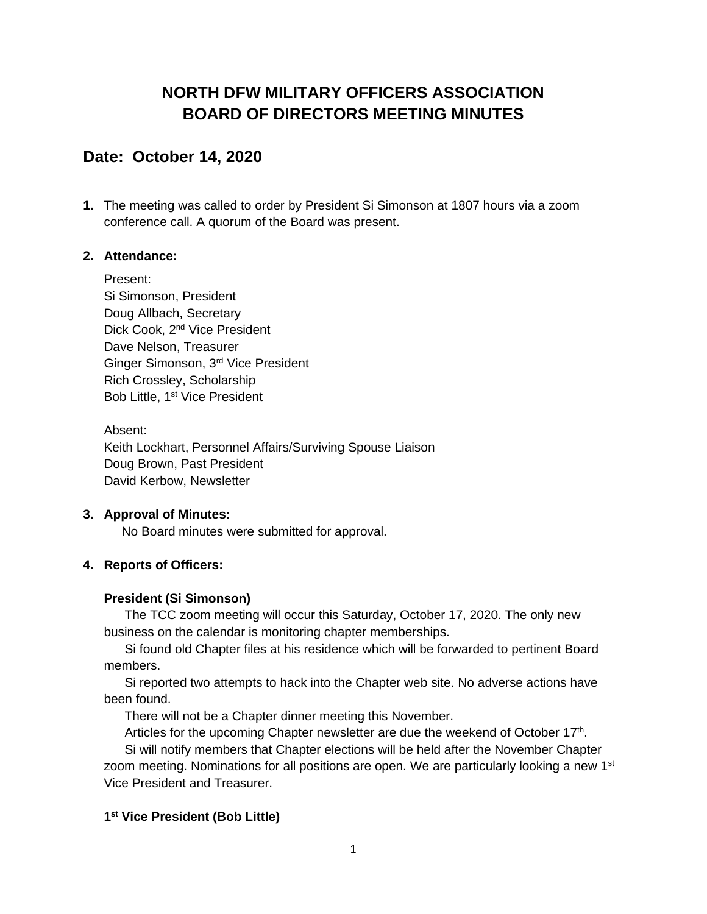# **NORTH DFW MILITARY OFFICERS ASSOCIATION BOARD OF DIRECTORS MEETING MINUTES**

## **Date: October 14, 2020**

**1.** The meeting was called to order by President Si Simonson at 1807 hours via a zoom conference call. A quorum of the Board was present.

#### **2. Attendance:**

Present: Si Simonson, President Doug Allbach, Secretary Dick Cook, 2<sup>nd</sup> Vice President Dave Nelson, Treasurer Ginger Simonson, 3rd Vice President Rich Crossley, Scholarship Bob Little, 1<sup>st</sup> Vice President

Absent: Keith Lockhart, Personnel Affairs/Surviving Spouse Liaison Doug Brown, Past President David Kerbow, Newsletter

#### **3. Approval of Minutes:**

No Board minutes were submitted for approval.

#### **4. Reports of Officers:**

#### **President (Si Simonson)**

The TCC zoom meeting will occur this Saturday, October 17, 2020. The only new business on the calendar is monitoring chapter memberships.

Si found old Chapter files at his residence which will be forwarded to pertinent Board members.

Si reported two attempts to hack into the Chapter web site. No adverse actions have been found.

There will not be a Chapter dinner meeting this November.

Articles for the upcoming Chapter newsletter are due the weekend of October 17<sup>th</sup>.

Si will notify members that Chapter elections will be held after the November Chapter zoom meeting. Nominations for all positions are open. We are particularly looking a new  $1<sup>st</sup>$ Vice President and Treasurer.

#### **1 st Vice President (Bob Little)**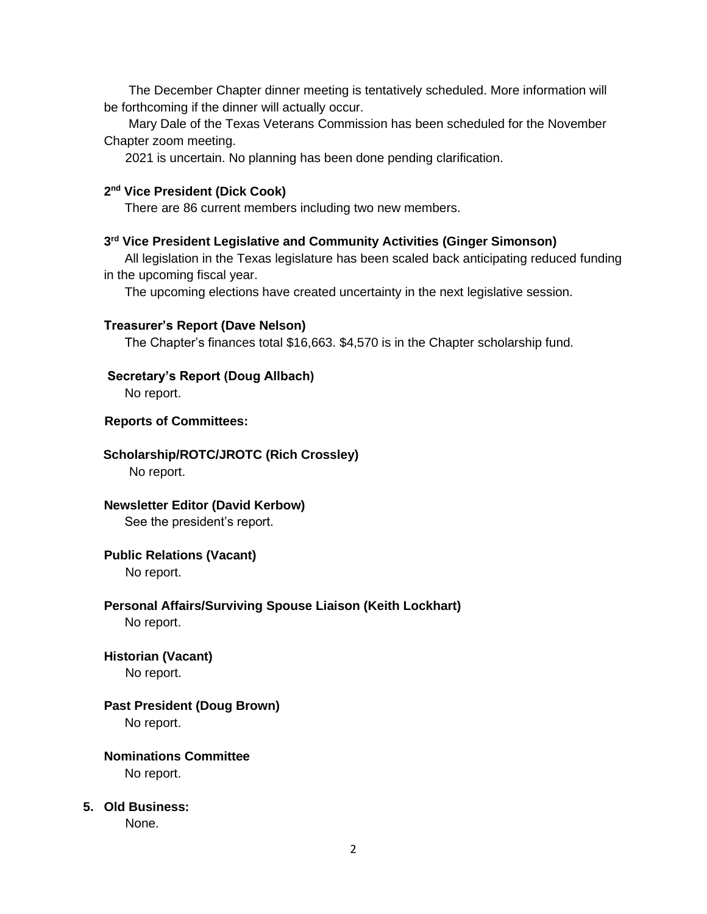The December Chapter dinner meeting is tentatively scheduled. More information will be forthcoming if the dinner will actually occur.

 Mary Dale of the Texas Veterans Commission has been scheduled for the November Chapter zoom meeting.

2021 is uncertain. No planning has been done pending clarification.

#### **2 nd Vice President (Dick Cook)**

There are 86 current members including two new members.

#### **3 rd Vice President Legislative and Community Activities (Ginger Simonson)**

All legislation in the Texas legislature has been scaled back anticipating reduced funding in the upcoming fiscal year.

The upcoming elections have created uncertainty in the next legislative session.

#### **Treasurer's Report (Dave Nelson)**

The Chapter's finances total \$16,663. \$4,570 is in the Chapter scholarship fund.

#### **Secretary's Report (Doug Allbach)**

No report.

#### **Reports of Committees:**

#### **Scholarship/ROTC/JROTC (Rich Crossley)**

No report.

# **Newsletter Editor (David Kerbow)**

See the president's report.

#### **Public Relations (Vacant)**

No report.

## **Personal Affairs/Surviving Spouse Liaison (Keith Lockhart)**

No report.

#### **Historian (Vacant)**

No report.

### **Past President (Doug Brown)**

No report.

#### **Nominations Committee** No report.

#### **5. Old Business:**

None.